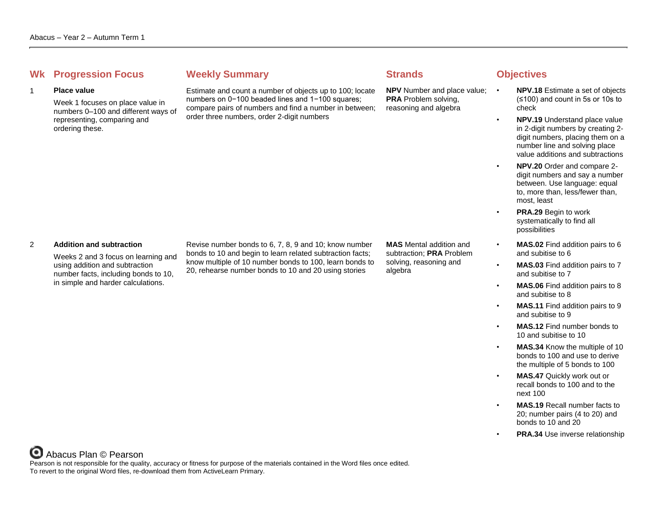## **Whenever Summary Weekly Summary Strands Objectives**

#### 1 **Place value**

Week 1 focuses on place value in numbers 0–100 and different ways of representing, comparing and ordering these.

Estimate and count a number of objects up to 100; locate numbers on 0−100 beaded lines and 1−100 squares; compare pairs of numbers and find a number in between; order three numbers, order 2-digit numbers

**NPV** Number and place value: • **PRA** Problem solving, reasoning and algebra

- **NPV.18** Estimate a set of objects (≤100) and count in 5s or 10s to check
- **NPV.19** Understand place value in 2-digit numbers by creating 2 digit numbers, placing them on a number line and solving place value additions and subtractions
- **NPV.20** Order and compare 2 digit numbers and say a number between. Use language: equal to, more than, less/fewer than, most, least
- **PRA.29** Begin to work systematically to find all possibilities
- **MAS.02** Find addition pairs to 6 and subitise to 6
- **MAS.03** Find addition pairs to 7 and subitise to 7
- **MAS.06** Find addition pairs to 8 and subitise to 8
- **MAS.11** Find addition pairs to 9 and subitise to 9
- **MAS.12** Find number bonds to 10 and subitise to 10
- **MAS.34** Know the multiple of 10 bonds to 100 and use to derive the multiple of 5 bonds to 100
	- **MAS.47** Quickly work out or recall bonds to 100 and to the next 100
- **MAS.19** Recall number facts to 20; number pairs (4 to 20) and bonds to 10 and 20
- **PRA.34** Use inverse relationship

### 2 **Addition and subtraction**

Weeks 2 and 3 focus on learning and using addition and subtraction number facts, including bonds to 10, in simple and harder calculations.

Revise number bonds to 6, 7, 8, 9 and 10; know number bonds to 10 and begin to learn related subtraction facts; know multiple of 10 number bonds to 100, learn bonds to 20, rehearse number bonds to 10 and 20 using stories

**MAS** Mental addition and subtraction; **PRA** Problem solving, reasoning and algebra

Abacus Plan © Pearson Pearson is not responsible for the quality, accuracy or fitness for purpose of the materials contained in the Word files once edited. To revert to the original Word files, re-download them from ActiveLearn Primary.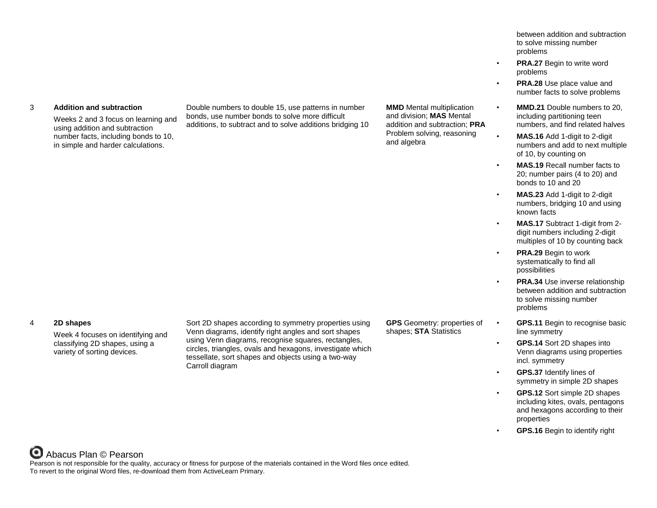### 3 **Addition and subtraction**

Weeks 2 and 3 focus on learning and using addition and subtraction number facts, including bonds to 10, in simple and harder calculations.

Double numbers to double 15, use patterns in number bonds, use number bonds to solve more difficult additions, to subtract and to solve additions bridging 10 **MMD** Mental multiplication and division; **MAS** Mental addition and subtraction; **PRA** Problem solving, reasoning and algebra

between addition and subtraction to solve missing number problems

- **PRA.27** Begin to write word problems
- **PRA.28** Use place value and number facts to solve problems
- **MMD.21** Double numbers to 20, including partitioning teen numbers, and find related halves
- **MAS.16** Add 1-digit to 2-digit numbers and add to next multiple of 10, by counting on
- **MAS.19** Recall number facts to 20; number pairs (4 to 20) and bonds to 10 and 20
- **MAS.23** Add 1-digit to 2-digit numbers, bridging 10 and using known facts
- **MAS.17** Subtract 1-digit from 2 digit numbers including 2-digit multiples of 10 by counting back
- **PRA.29** Begin to work systematically to find all possibilities
	- **PRA.34** Use inverse relationship between addition and subtraction to solve missing number problems
- **GPS.11** Begin to recognise basic line symmetry
- **GPS.14** Sort 2D shapes into Venn diagrams using properties incl. symmetry
- **GPS.37** Identify lines of symmetry in simple 2D shapes
- **GPS.12** Sort simple 2D shapes including kites, ovals, pentagons and hexagons according to their properties
- **GPS.16** Begin to identify right

#### 4 **2D shapes**

Week 4 focuses on identifying and classifying 2D shapes, using a variety of sorting devices.

Sort 2D shapes according to symmetry properties using Venn diagrams, identify right angles and sort shapes using Venn diagrams, recognise squares, rectangles, circles, triangles, ovals and hexagons, investigate which tessellate, sort shapes and objects using a two-way Carroll diagram

**GPS** Geometry: properties of shapes; **STA** Statistics

# Abacus Plan © Pearson

Pearson is not responsible for the quality, accuracy or fitness for purpose of the materials contained in the Word files once edited. To revert to the original Word files, re-download them from ActiveLearn Primary.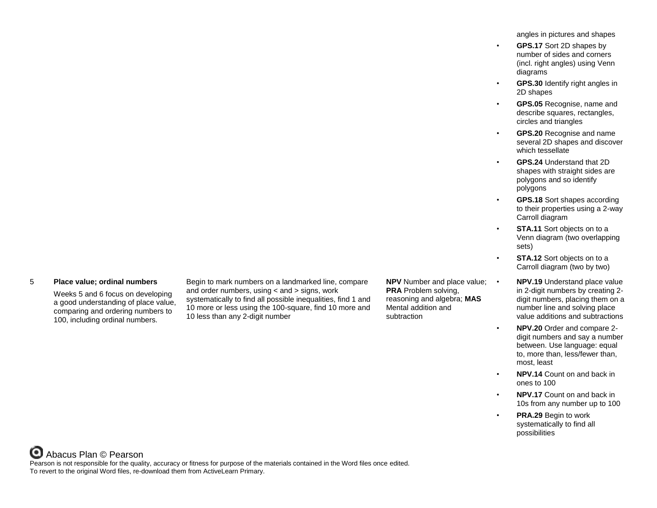angles in pictures and shapes

- **GPS.17** Sort 2D shapes by number of sides and corners (incl. right angles) using Venn diagrams
- **GPS.30** Identify right angles in 2D shapes
- **GPS.05** Recognise, name and describe squares, rectangles, circles and triangles
- **GPS.20** Recognise and name several 2D shapes and discover which tessellate
- **GPS.24** Understand that 2D shapes with straight sides are polygons and so identify polygons
- **GPS.18** Sort shapes according to their properties using a 2-way Carroll diagram
- **STA.11** Sort objects on to a Venn diagram (two overlapping sets)
- **STA.12** Sort objects on to a Carroll diagram (two by two)
	- **NPV.19** Understand place value in 2-digit numbers by creating 2 digit numbers, placing them on a number line and solving place value additions and subtractions
- **NPV.20** Order and compare 2 digit numbers and say a number between. Use language: equal to, more than, less/fewer than, most, least
- **NPV.14** Count on and back in ones to 100
- **NPV.17** Count on and back in 10s from any number up to 100
- **PRA.29 Begin to work** systematically to find all possibilities

### 5 **Place value; ordinal numbers**

Weeks 5 and 6 focus on developing a good understanding of place value, comparing and ordering numbers to 100, including ordinal numbers.

Begin to mark numbers on a landmarked line, compare and order numbers, using < and > signs, work systematically to find all possible inequalities, find 1 and 10 more or less using the 100-square, find 10 more and 10 less than any 2-digit number

**NPV** Number and place value; • **PRA** Problem solving, reasoning and algebra; **MAS** Mental addition and subtraction

Abacus Plan © Pearson Pearson is not responsible for the quality, accuracy or fitness for purpose of the materials contained in the Word files once edited. To revert to the original Word files, re-download them from ActiveLearn Primary.